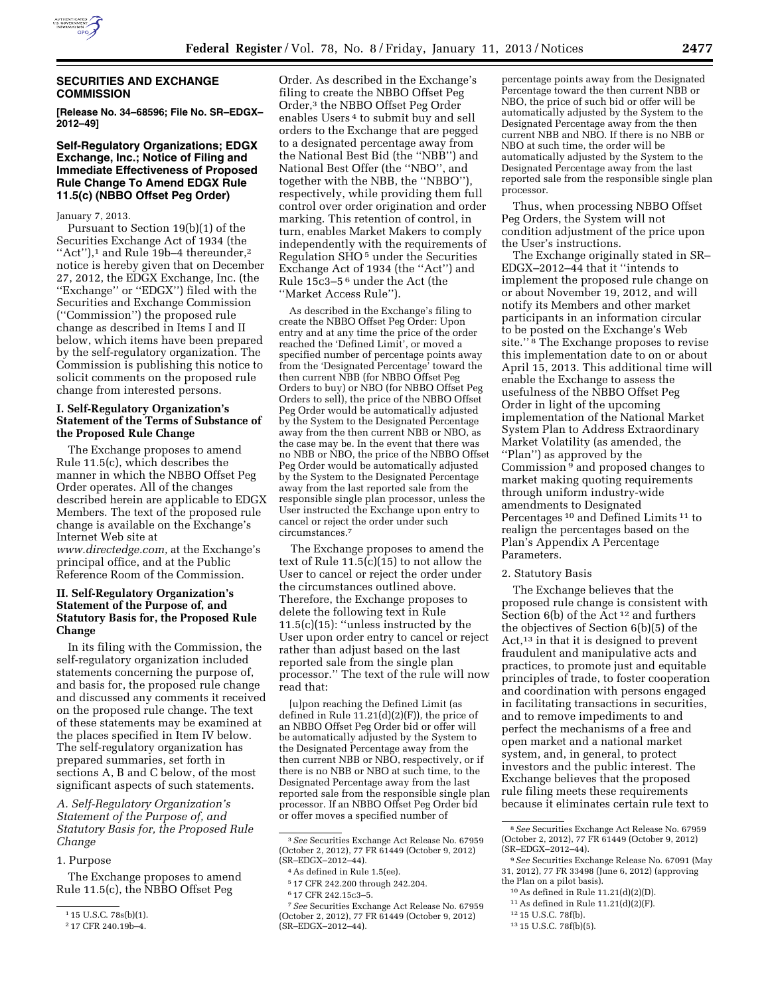

#### **SECURITIES AND EXCHANGE COMMISSION**

**[Release No. 34–68596; File No. SR–EDGX– 2012–49]** 

#### **Self-Regulatory Organizations; EDGX Exchange, Inc.; Notice of Filing and Immediate Effectiveness of Proposed Rule Change To Amend EDGX Rule 11.5(c) (NBBO Offset Peg Order)**

#### January 7, 2013.

Pursuant to Section 19(b)(1) of the Securities Exchange Act of 1934 (the "Act"),<sup>1</sup> and Rule 19b-4 thereunder,<sup>2</sup> notice is hereby given that on December 27, 2012, the EDGX Exchange, Inc. (the ''Exchange'' or ''EDGX'') filed with the Securities and Exchange Commission (''Commission'') the proposed rule change as described in Items I and II below, which items have been prepared by the self-regulatory organization. The Commission is publishing this notice to solicit comments on the proposed rule change from interested persons.

### **I. Self-Regulatory Organization's Statement of the Terms of Substance of the Proposed Rule Change**

The Exchange proposes to amend Rule 11.5(c), which describes the manner in which the NBBO Offset Peg Order operates. All of the changes described herein are applicable to EDGX Members. The text of the proposed rule change is available on the Exchange's Internet Web site at *[www.directedge.com,](http://www.directedge.com)* at the Exchange's principal office, and at the Public Reference Room of the Commission.

### **II. Self-Regulatory Organization's Statement of the Purpose of, and Statutory Basis for, the Proposed Rule Change**

In its filing with the Commission, the self-regulatory organization included statements concerning the purpose of, and basis for, the proposed rule change and discussed any comments it received on the proposed rule change. The text of these statements may be examined at the places specified in Item IV below. The self-regulatory organization has prepared summaries, set forth in sections A, B and C below, of the most significant aspects of such statements.

*A. Self-Regulatory Organization's Statement of the Purpose of, and Statutory Basis for, the Proposed Rule Change* 

# 1. Purpose

The Exchange proposes to amend Rule 11.5(c), the NBBO Offset Peg

Order. As described in the Exchange's filing to create the NBBO Offset Peg Order,3 the NBBO Offset Peg Order enables Users 4 to submit buy and sell orders to the Exchange that are pegged to a designated percentage away from the National Best Bid (the ''NBB'') and National Best Offer (the ''NBO'', and together with the NBB, the ''NBBO''), respectively, while providing them full control over order origination and order marking. This retention of control, in turn, enables Market Makers to comply independently with the requirements of Regulation SHO 5 under the Securities Exchange Act of 1934 (the ''Act'') and Rule 15c3–5 6 under the Act (the ''Market Access Rule'').

As described in the Exchange's filing to create the NBBO Offset Peg Order: Upon entry and at any time the price of the order reached the 'Defined Limit', or moved a specified number of percentage points away from the 'Designated Percentage' toward the then current NBB (for NBBO Offset Peg Orders to buy) or NBO (for NBBO Offset Peg Orders to sell), the price of the NBBO Offset Peg Order would be automatically adjusted by the System to the Designated Percentage away from the then current NBB or NBO, as the case may be. In the event that there was no NBB or NBO, the price of the NBBO Offset Peg Order would be automatically adjusted by the System to the Designated Percentage away from the last reported sale from the responsible single plan processor, unless the User instructed the Exchange upon entry to cancel or reject the order under such circumstances.7

The Exchange proposes to amend the text of Rule 11.5(c)(15) to not allow the User to cancel or reject the order under the circumstances outlined above. Therefore, the Exchange proposes to delete the following text in Rule  $11.5(c)(15)$ : "unless instructed by the User upon order entry to cancel or reject rather than adjust based on the last reported sale from the single plan processor.'' The text of the rule will now read that:

[u]pon reaching the Defined Limit (as defined in Rule 11.21(d)(2)(F)), the price of an NBBO Offset Peg Order bid or offer will be automatically adjusted by the System to the Designated Percentage away from the then current NBB or NBO, respectively, or if there is no NBB or NBO at such time, to the Designated Percentage away from the last reported sale from the responsible single plan processor. If an NBBO Offset Peg Order bid or offer moves a specified number of

percentage points away from the Designated Percentage toward the then current NBB or NBO, the price of such bid or offer will be automatically adjusted by the System to the Designated Percentage away from the then current NBB and NBO. If there is no NBB or NBO at such time, the order will be automatically adjusted by the System to the Designated Percentage away from the last reported sale from the responsible single plan processor.

Thus, when processing NBBO Offset Peg Orders, the System will not condition adjustment of the price upon the User's instructions.

The Exchange originally stated in SR– EDGX–2012–44 that it ''intends to implement the proposed rule change on or about November 19, 2012, and will notify its Members and other market participants in an information circular to be posted on the Exchange's Web site."<sup>8</sup> The Exchange proposes to revise this implementation date to on or about April 15, 2013. This additional time will enable the Exchange to assess the usefulness of the NBBO Offset Peg Order in light of the upcoming implementation of the National Market System Plan to Address Extraordinary Market Volatility (as amended, the ''Plan'') as approved by the Commission 9 and proposed changes to market making quoting requirements through uniform industry-wide amendments to Designated Percentages 10 and Defined Limits 11 to realign the percentages based on the Plan's Appendix A Percentage Parameters.

#### 2. Statutory Basis

The Exchange believes that the proposed rule change is consistent with Section 6(b) of the Act 12 and furthers the objectives of Section 6(b)(5) of the Act,13 in that it is designed to prevent fraudulent and manipulative acts and practices, to promote just and equitable principles of trade, to foster cooperation and coordination with persons engaged in facilitating transactions in securities, and to remove impediments to and perfect the mechanisms of a free and open market and a national market system, and, in general, to protect investors and the public interest. The Exchange believes that the proposed rule filing meets these requirements because it eliminates certain rule text to

- 10As defined in Rule 11.21(d)(2)(D).
- 11As defined in Rule 11.21(d)(2)(F).
- 12 15 U.S.C. 78f(b).

<sup>1</sup> 15 U.S.C. 78s(b)(1).

<sup>2</sup> 17 CFR 240.19b–4.

<sup>3</sup>*See* Securities Exchange Act Release No. 67959 (October 2, 2012), 77 FR 61449 (October 9, 2012) (SR–EDGX–2012–44).

<sup>4</sup>As defined in Rule 1.5(ee).

<sup>5</sup> 17 CFR 242.200 through 242.204.

<sup>6</sup> 17 CFR 242.15c3–5.

<sup>7</sup>*See* Securities Exchange Act Release No. 67959 (October 2, 2012), 77 FR 61449 (October 9, 2012) (SR–EDGX–2012–44).

<sup>8</sup>*See* Securities Exchange Act Release No. 67959 (October 2, 2012), 77 FR 61449 (October 9, 2012) (SR–EDGX–2012–44).

<sup>9</sup>*See* Securities Exchange Release No. 67091 (May 31, 2012), 77 FR 33498 (June 6, 2012) (approving the Plan on a pilot basis).

<sup>13</sup> 15 U.S.C. 78f(b)(5).